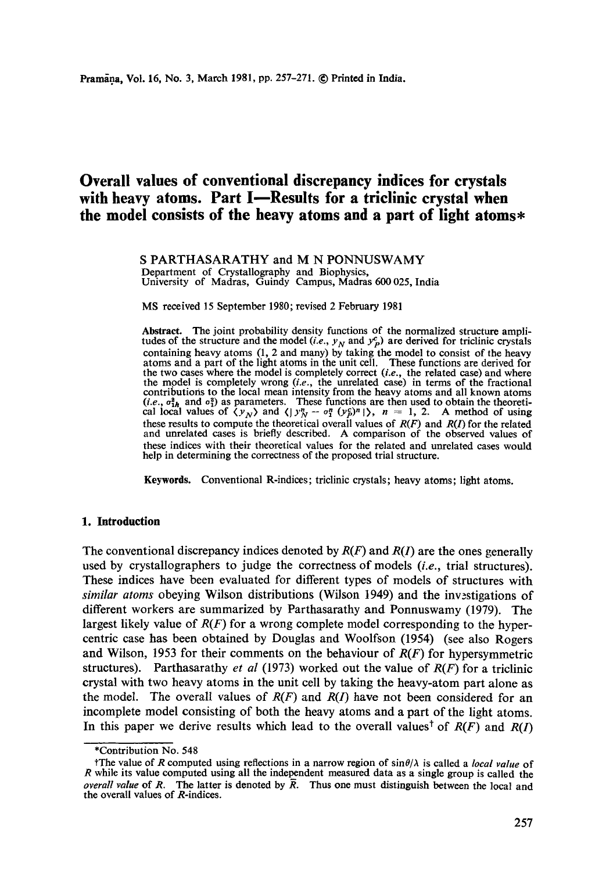# **Overall values of conventional discrepancy indices for crystals**  with heavy atoms. Part I-Results for a triclinic crystal when **the model consists of the heavy atoms and a part of light atoms\***

S PARTHASARATHY and M N PONNUSWAMY Department of Crystallography and Biophysics, University of Madras, Guindy Campus, Madras 600 025, India

MS received 15 September 1980; revised 2 February 1981

**Abstract.** The joint probability density functions of the normalized structure amplitudes of the structure and the model  $(i.e., y<sub>N</sub>$  and  $y<sub>P</sub><sup>c</sup>$ ) are derived for triclinic crystals containing heavy atoms (1, 2 and many) by taking the model to consist of the heavy atoms and a part of the light atoms in the unit cell. These functions are derived for the two cases where the model is completely correct *(i.e.,* the related case) and where the model is completely wrong *(i.e.,* the unrelated case) in terms of the fractional contributions to the local mean intensity from the heavy atoms and all known atoms  $(i.e., o_{1h}^2$  and  $o_1^2$  as parameters. These functions are then used to obtain the theoretical local values of  $\langle y_N \rangle$  and  $\langle y_N^n - \sigma_1^n (y_N^c)^n | \rangle$ ,  $n = 1, 2$ . A method of using these results to compute the theoretical overall values of  $R(F)$  and  $R(I)$  for the related and unrelated cases is briefly described. A comparison of the observed values of these indices with their theoretical values for the related and unrelated cases would help in determining the correctness of the proposed trial structure.

**Keywords.** Conventional R-indices; triclinic crystals; heavy atoms; light atoms.

## **1. Introduction**

The conventional discrepancy indices denoted by  $R(F)$  and  $R(I)$  are the ones generally used by crystallographers to judge the correctness of models *(i.e.,* trial structures). These indices have been evaluated for different types of models of structures with *similar atoms* obeying Wilson distributions (Wilson 1949) and the invzstigations of different workers are summarized by Parthasarathy and Ponnuswamy (1979). The largest likely value of *R(F)* for a wrong complete model corresponding to the hypercentric case has been obtained by Douglas and Woolfson (1954) (see also Rogers and Wilson, 1953 for their comments on the behaviour of *R(F)* for hypersymmetric structures). Parthasarathy *et al* (1973) worked out the value of *R(F)* for a triclinic crystal with two heavy atoms in the unit cell by taking the heavy-atom part alone as the model. The overall values of  $R(F)$  and  $R(I)$  have not been considered for an incomplete model consisting of both the heavy atoms and a part of the light atoms. In this paper we derive results which lead to the overall values<sup>†</sup> of  $R(F)$  and  $R(I)$ 

<sup>\*</sup>Contribution No. 548

The value of R computed using reflections in a narrow region of  $\sin\theta/\lambda$  is called a *local value* of R while its value computed using all the independent measured data as a single group is called the *overall value* of R. The latter is denoted by R. Thus one must distinguish between the local and the overall values of R-indices.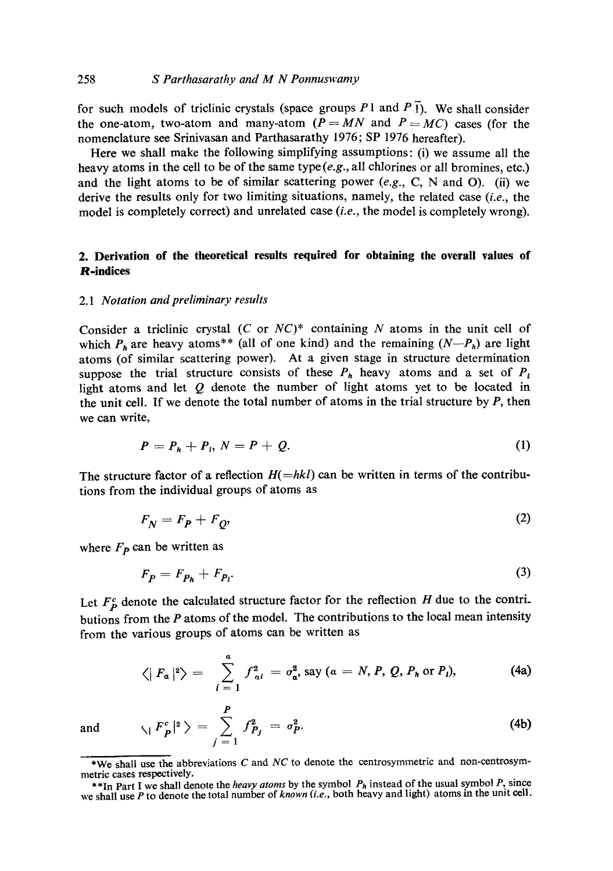#### 258 *S Parthasarathy and M N Ponnuswamy*

for such models of triclinic crystals (space groups  $P_1$  and  $P_1$ ). We shall consider the one-atom, two-atom and many-atom  $(P = MN$  and  $P = MC$ ) cases (for the nomenclature see Srinivasan and Parthasarathy 1976; SP 1976 hereafter).

Here we shall make the following simplifying assumptions: (i) we assume all the heavy atoms in the cell to be of the same type  $(e.g.,$  all chlorines or all bromines, etc.) and the light atoms to be of similar scattering power *(e.g.,* C, N and O). (ii) we derive the results only for two limiting situations, namely, the related case *(i.e.,* the model is completely correct) and unrelated case *(i.e.,* the model is completely wrong).

# **2. Derivation of the theoretical results required for obtaining the overall values of R-indices**

#### *2. I Notation and preliminary results*

Consider a triclinic crystal (C or *NC)\** containing N atoms in the unit cell of which  $P_h$  are heavy atoms<sup>\*\*</sup> (all of one kind) and the remaining  $(N-P_h)$  are light atoms (of similar scattering power). At a given stage in structure determination suppose the trial structure consists of these  $P_h$  heavy atoms and a set of  $P_l$ light atoms and let Q denote the number of light atoms yet to be located in the unit cell. If we denote the total number of atoms in the trial structure by  $P$ , then we can write,

$$
P=P_h+P_l, N=P+Q. \tag{1}
$$

The structure factor of a reflection  $H(=hkl)$  can be written in terms of the contributions from the individual groups of atoms as

$$
F_N = F_P + F_O,\tag{2}
$$

where  $F_p$  can be written as

$$
F_p = F_{p_h} + F_{p_l}.\tag{3}
$$

Let  $F_{p}^{c}$  denote the calculated structure factor for the reflection H due to the contributions from the  $P$  atoms of the model. The contributions to the local mean intensity from the various groups of atoms can be written as

$$
\langle |F_a|^2 \rangle = \sum_{i=1}^a f_{ai}^2 = \sigma_a^2, \text{ say } (a = N, P, Q, P_h \text{ or } P_i), \tag{4a}
$$

 $(4b)$ 

and  $\langle 1 \, F_p^c \rangle$ 

P

 $j =$ \*We shall use the abbreviations C and *NC* to denote the centrosymmetric and non-centrosym-

metric cases respectively.

**<sup>\*</sup>** \*In Part I we shall denote the *heavy atoms* by the symbol *Ph* instead of the usual symbol P, since we shall use P to denote the total number of *known (i.e.,* both heavy and light) atoms in the unit cell.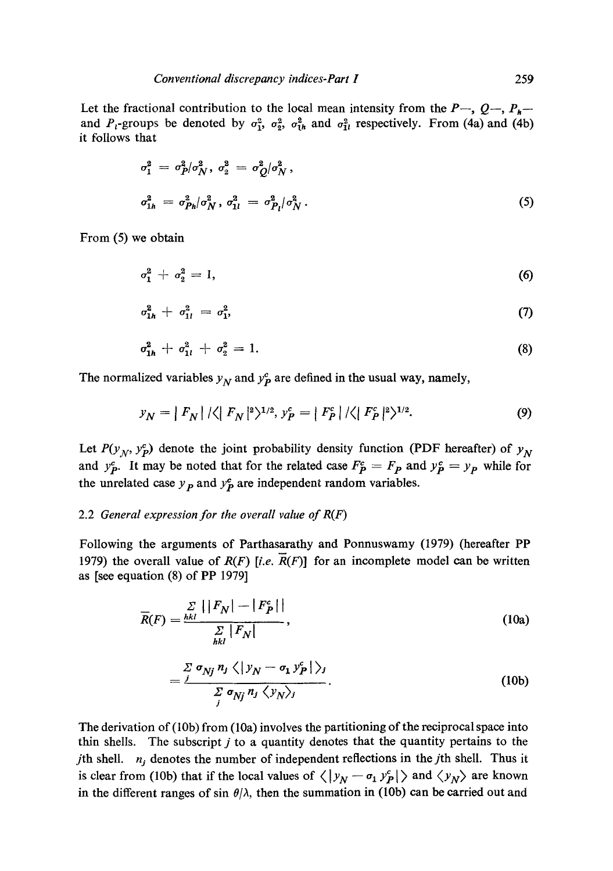Let the fractional contribution to the local mean intensity from the  $P_{-}$ ,  $Q_{-}$ ,  $P_{h}$ and  $P_i$ -groups be denoted by  $\sigma_1^2$ ,  $\sigma_2^2$ ,  $\sigma_{1h}^2$  and  $\sigma_{1l}^2$  respectively. From (4a) and (4b) it follows that

$$
\sigma_1^2 = \sigma_P^2 / \sigma_N^2, \ \sigma_2^2 = \sigma_Q^2 / \sigma_N^2,
$$
\n
$$
\sigma_{1h}^2 = \sigma_{Ph}^2 / \sigma_N^2, \ \sigma_{1l}^2 = \sigma_{Pl}^2 / \sigma_N^2.
$$
\n(5)

From (5) we obtain

$$
\sigma_1^2 + \sigma_2^2 = 1,\tag{6}
$$

$$
\sigma_{1h}^2 + \sigma_{1l}^2 = \sigma_{1}^2, \tag{7}
$$

$$
\sigma_{1h}^2 + \sigma_{1l}^2 + \sigma_2^2 = 1. \tag{8}
$$

The normalized variables  $y_N$  and  $y_P^c$  are defined in the usual way, namely,

$$
y_N = |F_N| / \langle |F_N|^2 \rangle^{1/2}, y_P^c = |F_P^c| / \langle |F_P^c|^2 \rangle^{1/2}.
$$
 (9)

Let  $P(y_N, y_P^c)$  denote the joint probability density function (PDF hereafter) of  $y_N$ and  $y^c$ . It may be noted that for the related case  $F^c$  =  $F_p$  and  $y^c$  =  $y_p$  while for the unrelated case  $y<sub>p</sub>$  and  $y<sub>p</sub><sup>c</sup>$  are independent random variables.

## 2.2 *General expression for the overall value of R(F)*

Following the arguments of Parthasarathy and Ponnuswamy (1979) (hereafter PP 1979) the overall value of  $R(F)$  [i.e.  $\overline{R}(F)$ ] for an incomplete model can be written as [see equation (8) of PP 1979]

$$
\overline{R}(F) = \frac{\sum\limits_{hkl} \left| |F_N| - |F_P^c| \right|}{\sum\limits_{hkl} |F_N|},\tag{10a}
$$

$$
=\frac{\sum\limits_{j}\sigma_{Nj}n_{j}\langle\vert y_{N}-\sigma_{1}y_{P}^{c}\vert\rangle_{j}}{\sum\limits_{j}\sigma_{Nj}n_{j}\langle y_{N}\rangle_{j}}.
$$
 (10b)

The derivation of (10b) from (10a) involves the partitioning of the reciprocal space into thin shells. The subscript  $j$  to a quantity denotes that the quantity pertains to the *j*th shell.  $n_j$  denotes the number of independent reflections in the *j*th shell. Thus it is clear from (10b) that if the local values of  $\langle |y_N - \sigma_1 y_P^c| \rangle$  and  $\langle y_N \rangle$  are known in the different ranges of sin  $\theta/\lambda$ , then the summation in (10b) can be carried out and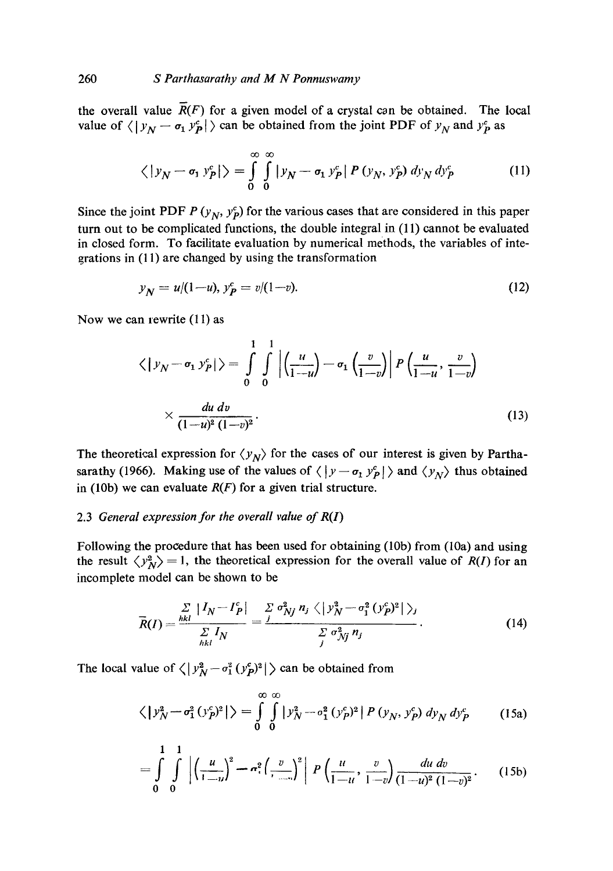the overall value  $\overline{R}(F)$  for a given model of a crystal can be obtained. The local value of  $\langle | y_N - \sigma_1 y_p^c | \rangle$  can be obtained from the joint PDF of  $y_N$  and  $y_p^c$  as

$$
\langle |y_N - \sigma_1 y_P^c| \rangle = \int_0^\infty \int_0^\infty |y_N - \sigma_1 y_P^c| P(y_N, y_P^c) dy_N dy_P^c
$$
 (11)

Since the joint PDF  $P(y_N, y_P^c)$  for the various cases that are considered in this paper turn out to be complicated functions, the double integral in (11) cannot be evaluated in closed form. To facilitate evaluation by numerical methods, the variables of integrations in (11) are changed by using the transformation

$$
y_N = u/(1-u), y_P^c = v/(1-v). \tag{12}
$$

Now we can rewrite (11) as

$$
\langle |y_N - \sigma_1 y_P^c| \rangle = \int_0^1 \int_0^1 \left| \left( \frac{u}{1-u} \right) - \sigma_1 \left( \frac{v}{1-v} \right) \right| P \left( \frac{u}{1-u}, \frac{v}{1-v} \right) \times \frac{du \, dv}{(1-u)^2 (1-v)^2}.
$$
\n(13)

The theoretical expression for  $\langle y_N \rangle$  for the cases of our interest is given by Parthasarathy (1966). Making use of the values of  $\langle |y - \sigma_1 y_P^c| \rangle$  and  $\langle y_N \rangle$  thus obtained in (10b) we can evaluate *R(F)* for a given trial structure.

# 2.3 *General expression for the overall value of R(I)*

Following the procedure that has been used for obtaining (10b) from (10a) and using the result  $\langle y_N^2 \rangle = 1$ , the theoretical expression for the overall value of *R(I)* for an incomplete model can be shown to be

$$
\overline{R}(I) = \frac{\sum\limits_{hkl} |I_N - I_P^c|}{\sum\limits_{hkl} I_N} = \frac{\sum\limits_{j} \sigma_{Nj}^2 n_j \langle |y_N^2 - \sigma_1^2 (y_P^c)^2| \rangle_j}{\sum\limits_{j} \sigma_{Nj}^2 n_j}.
$$
\n(14)

The local value of  $\langle |y_N^2 - \sigma_1^2 (y_P^2)^2| \rangle$  can be obtained from

$$
\langle |y_N^2 - \sigma_1^2 (y_P^c)^2| \rangle = \int_0^\infty \int_0^\infty |y_N^2 - \sigma_1^2 (y_P^c)^2| P(y_N, y_P^c) dy_N dy_P^c \qquad (15a)
$$

$$
= \int_{0}^{1} \int_{0}^{1} \left| \left( \frac{u}{1-u} \right)^{2} - \sigma_{1}^{2} \left( \frac{v}{1-u} \right)^{2} \right| P\left( \frac{u}{1-u}, \frac{v}{1-v} \right) \frac{du dv}{(1-u)^{2} (1-v)^{2}}.
$$
 (15b)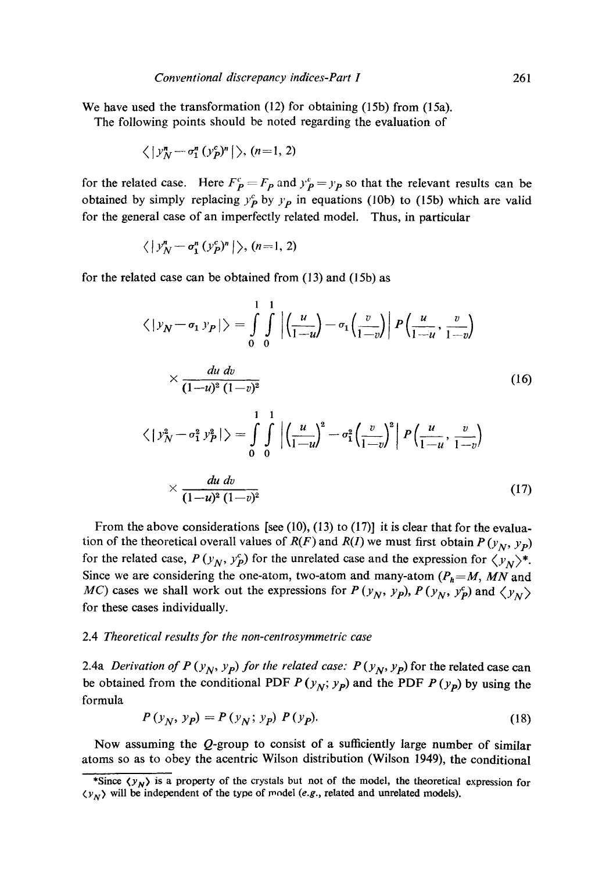We have used the transformation (12) for obtaining (15b) from (15a). The following points should be noted regarding the evaluation of

$$
\langle |y_N^n - \sigma_1^n (y_P^c)^n | \rangle, (n=1, 2)
$$

for the related case. Here  $F_p = F_p$  and  $y_p = y_p$  so that the relevant results can be obtained by simply replacing  $y_p^c$  by  $y_p$  in equations (10b) to (15b) which are valid for the general case of an imperfectly related model. Thus, in particular

$$
\langle |y_N^n - \sigma_1^n (y_P^c)^n | \rangle, (n=1, 2)
$$

for the related case can be obtained from (13) and (15b) as

$$
\langle |y_N - \sigma_1 y_P| \rangle = \int_0^1 \int_0^1 \left| \left( \frac{u}{1-u} \right) - \sigma_1 \left( \frac{v}{1-v} \right) \right| P \left( \frac{u}{1-u}, \frac{v}{1-v} \right)
$$
  

$$
\times \frac{du dv}{(1-u)^2 (1-v)^2}
$$
  

$$
\langle |y_N^2 - \sigma_1^2 y_P^2| \rangle = \int_0^1 \int_0^1 \left| \left( \frac{u}{1-u} \right)^2 - \sigma_1^2 \left( \frac{v}{1-v} \right)^2 \right| P \left( \frac{u}{1-u}, \frac{v}{1-v} \right)
$$
  

$$
\times \frac{du dv}{(1-u)^2 (1-v)^2}
$$
 (17)

From the above considerations [see (10), (13) to (17)] it is clear that for the evaluation of the theoretical overall values of  $R(F)$  and  $R(I)$  we must first obtain  $P(y_N, y_P)$ for the related case,  $P(y_N, y_P^c)$  for the unrelated case and the expression for  $\langle y_N \rangle^*$ . Since we are considering the one-atom, two-atom and many-atom  $(P_h = M, MN$  and *MC*) cases we shall work out the expressions for  $P(y_N, y_p)$ ,  $P(y_N, y_p^c)$  and  $\langle y_N \rangle$ for these cases individually.

#### 2.4 *Theoretical results for the non-centrosymmetric case*

2.4a *Derivation of P* ( $y_N$ ,  $y_p$ ) for the related case: P ( $y_N$ ,  $y_p$ ) for the related case can be obtained from the conditional PDF  $P(y_N; y_p)$  and the PDF  $P(y_p)$  by using the formula

$$
P(y_N, y_p) = P(y_N; y_p) P(y_p).
$$
 (18)

Now assuming the Q-group to consist of a sufficiently large number of similar atoms so as to obey the acentric Wilson distribution (Wilson 1949), the conditional

<sup>\*</sup>Since  $\langle y_N \rangle$  is a property of the crystals but not of the model, the theoretical expression for  $\langle v_N \rangle$  will be independent of the type of model *(e.g., related and unrelated models)*.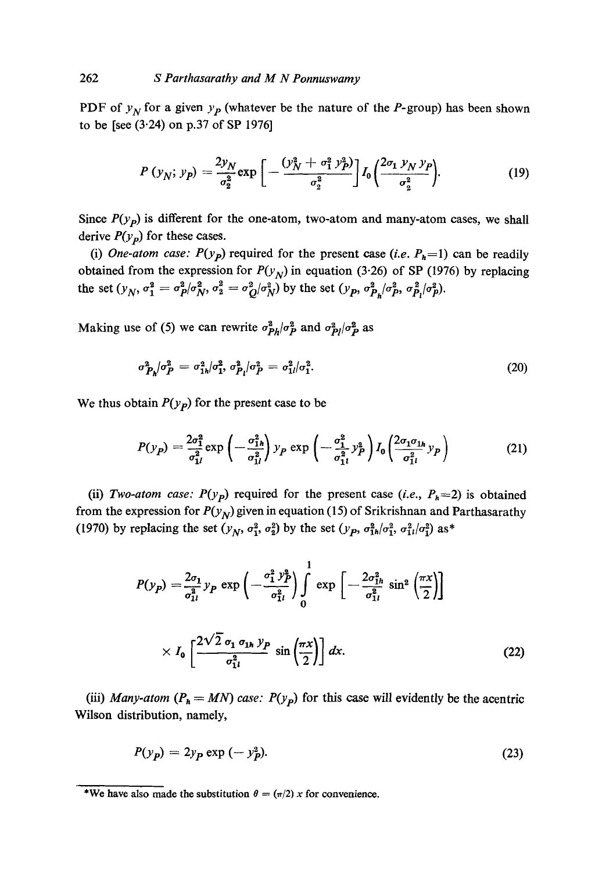PDF of  $y_N$  for a given  $y_P$  (whatever be the nature of the *P*-group) has been shown to be [see (3.24) on p.37 of SP 1976]

$$
P(y_N; y_P) = \frac{2y_N}{\sigma_2^2} \exp\left[-\frac{(y_N^2 + \sigma_1^2 y_P^2)}{\sigma_2^2}\right] I_0 \left(\frac{2\sigma_1 y_N y_P}{\sigma_2^2}\right).
$$
 (19)

Since  $P(y_p)$  is different for the one-atom, two-atom and many-atom cases, we shall derive  $P(y_p)$  for these cases.

*(i) One-atom case:*  $P(y_p)$  required for the present case *(i.e.*  $P_h=1$ ) can be readily obtained from the expression for  $P(y_N)$  in equation (3.26) of SP (1976) by replacing the set  $(y_N, \sigma_1^2 = \sigma_P^2/\sigma_N^2, \sigma_2^2 = \sigma_O^2/\sigma_N^2)$  by the set  $(y_P, \sigma_P^2/\sigma_P^2, \sigma_P^2/\sigma_P^2)$ .

Making use of (5) we can rewrite  $\sigma_{P_h}^2/\sigma_P^2$  and  $\sigma_{P_l}^2/\sigma_P^2$  as

$$
\sigma_{P_h}^2/\sigma_P^2 = \sigma_{1h}^2/\sigma_P^2, \sigma_{P_l}^2/\sigma_P^2 = \sigma_{1l}^2/\sigma_1^2. \tag{20}
$$

We thus obtain  $P(y_p)$  for the present case to be

$$
P(y_P) = \frac{2\sigma_1^2}{\sigma_{1l}^2} \exp\left(-\frac{\sigma_{1h}^2}{\sigma_{1l}^2}\right) y_P \exp\left(-\frac{\sigma_1^2}{\sigma_{1l}^2} y_P^2\right) I_0\left(\frac{2\sigma_1 \sigma_{1h}}{\sigma_{1l}^2} y_P\right)
$$
(21)

(ii) *Two-atom case:*  $P(y_p)$  required for the present case *(i.e.,*  $P_h=2$ ) is obtained from the expression for  $P(y_N)$  given in equation (15) of Srikrishnan and Parthasarathy (1970) by replacing the set  $(y_N, \sigma_1^2, \sigma_2^2)$  by the set  $(y_P, \sigma_{1h}^2/\sigma_1^2, \sigma_{1l}^2/\sigma_1^2)$  as\*

$$
P(y_P) = \frac{2\sigma_1}{\sigma_{1l}^2} y_P \exp\left(-\frac{\sigma_1^2 y_P^2}{\sigma_{1l}^2}\right) \int_0^1 \exp\left[-\frac{2\sigma_{1h}^2}{\sigma_{1l}^2} \sin^2\left(\frac{\pi x}{2}\right)\right] \times I_0 \left[\frac{2\sqrt{2} \sigma_1 \sigma_{1h} y_P}{\sigma_{1l}^2} \sin\left(\frac{\pi x}{2}\right)\right] dx.
$$
 (22)

(iii) *Many-atom*  $(P_h = MN)$  *case:*  $P(y_p)$  for this case will evidently be the acentric Wilson distribution, namely,

$$
P(y_p) = 2y_p \exp\left(-y_p^2\right). \tag{23}
$$

<sup>\*</sup>We have also made the substitution  $\theta = (\pi/2) x$  for convenience.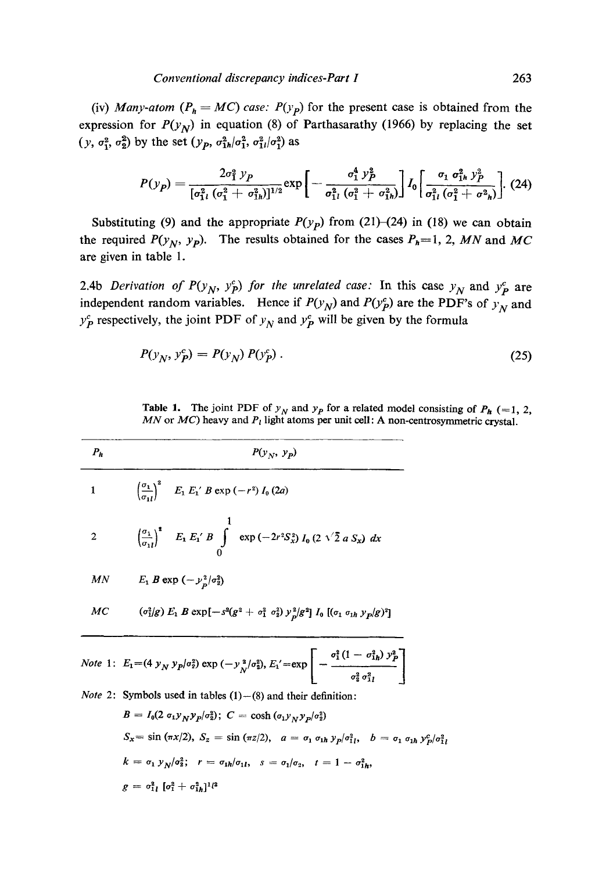(iv) *Many-atom* ( $P_h = MC$ ) case:  $P(y_p)$  for the present case is obtained from the expression for  $P(y_N)$  in equation (8) of Parthasarathy (1966) by replacing the set  $(y, \sigma_1^2, \sigma_2^2)$  by the set  $(y_p, \sigma_{1h}^2/\sigma_1^2, \sigma_{1l}^2/\sigma_1^2)$  as

$$
P(y_P) = \frac{2\sigma_1^2 y_P}{[\sigma_{1l}^2 (\sigma_1^2 + \sigma_{1h}^2)]^{1/2}} \exp \left[ -\frac{\sigma_1^4 y_P^2}{\sigma_{1l}^2 (\sigma_1^2 + \sigma_{1h}^2)} \right] I_0 \left[ \frac{\sigma_1 \sigma_{1h}^2 y_P^2}{\sigma_{1l}^2 (\sigma_1^2 + \sigma_{1h}^2)} \right].
$$
 (24)

Substituting (9) and the appropriate  $P(y_P)$  from (21)–(24) in (18) we can obtain the required  $P(y_N, y_p)$ . The results obtained for the cases  $P_h=1$ , 2, MN and MC are given in table 1.

2.4b *Derivation of P(y<sub>N</sub>, y<sup>c</sup></sup>) for the unrelated case:* In this case  $y_N$  and  $y_P^c$  are independent random variables. Hence if  $P(y_N)$  and  $P(y_P^c)$  are the PDF's of  $y_N$  and  $y_P^c$  respectively, the joint PDF of  $y_N$  and  $y_P^c$  will be given by the formula

$$
P(y_N, y_P^c) = P(y_N) P(y_P^c)
$$
 (25)

Table 1. The joint PDF of  $y_N$  and  $y_p$  for a related model consisting of  $P_h$  (=1, 2, *MN* or  $MC$ ) heavy and  $P_l$  light atoms per unit cell: A non-centrosymmetric crystal.

| $P_h$          | $P(y_N, y_p)$                                                                                                                    |  |
|----------------|----------------------------------------------------------------------------------------------------------------------------------|--|
| $1\,$ $\,$     | $\left(\frac{\sigma_1}{\sigma_2}\right)^2$ $E_1 E_1 B \exp(-r^2) I_0 (2a)$                                                       |  |
| $\overline{2}$ | $\left(\frac{\sigma_1}{\sigma_{1l}}\right)^2$ $E_1 E_1 B \int \exp\left(-2r^2 S_x^2\right) I_0 \left(2 \sqrt{2} a S_x\right) dx$ |  |
| MN             | $E_1 B \exp(-y_p^2/\sigma_2^2)$                                                                                                  |  |
| МC             | $(\sigma_1^2/g) E_1 B \exp[-s^2(g^2 + \sigma_1^2 \sigma_2^2) y_p^2/g^2] I_0 [(\sigma_1 \sigma_{1h} y_p/g)^2]$                    |  |

Note 1: 
$$
E_1 = (4 y_N y_P/\sigma_2^2) \exp(-y_N^2/\sigma_2^2), E_1' = \exp \left[-\frac{\sigma_1^2 (1 - \sigma_{1h}^2) y_P^2}{\sigma_2^2 \sigma_{1l}^2}\right]
$$

*Note* 2: Symbols used in tables  $(1) - (8)$  and their definition:  $B = L(2 \alpha \cdot y \cdot y / \alpha^2)$ ;  $C = \cosh{(\alpha \cdot y \cdot y / \alpha^2)}$ 

$$
B = I_0(2 \sigma_1 y_N y_p/\sigma_2^2); \quad C = \cosh(\sigma_1 y_N y_p/\sigma_2^2)
$$
\n
$$
S_x = \sin(\pi x/2), \quad S_z = \sin(\pi z/2), \quad a = \sigma_1 \sigma_{1h} y_p/\sigma_{1l}^2, \quad b = \sigma_1 \sigma_{1h} y_p/\sigma_{1l}^2
$$
\n
$$
k = \sigma_1 y_N/\sigma_2^2; \quad r = \sigma_{1h}/\sigma_{1l}, \quad s = \sigma_1/\sigma_2, \quad t = 1 - \sigma_{1h}^2,
$$
\n
$$
g = \sigma_{1l}^2 \left[\sigma_1^2 + \sigma_{1h}^2\right]^{1/2}
$$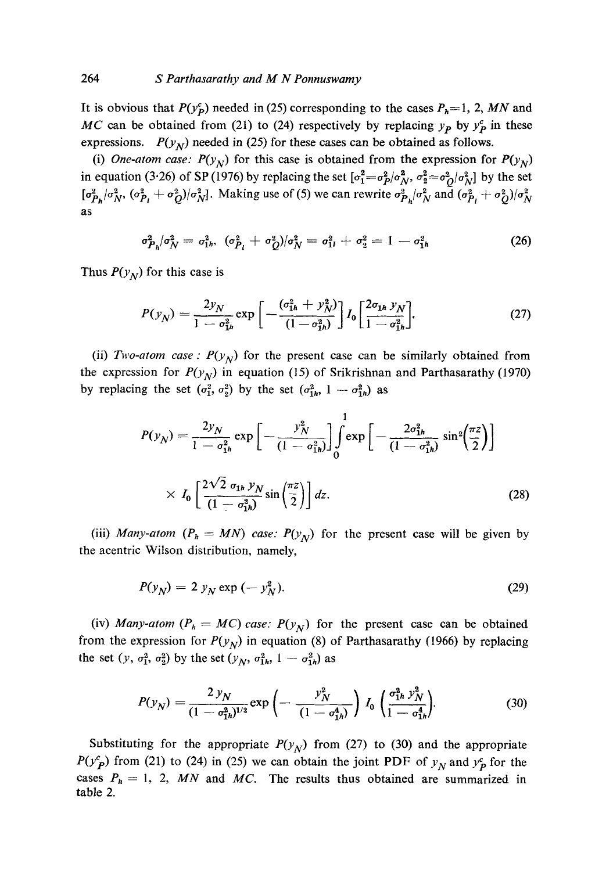It is obvious that  $P(y_p^c)$  needed in (25) corresponding to the cases  $P_h=1$ , 2, *MN* and *MC* can be obtained from (21) to (24) respectively by replacing  $y_p$  by  $y_p^c$  in these expressions.  $P(y_N)$  needed in (25) for these cases can be obtained as follows.

(i) *One-atom case:*  $P(y_N)$  for this case is obtained from the expression for  $P(y_N)$ in equation (3.26) of SP (1976) by replacing the set  $\left[\sigma_1^2 = \sigma_p^2/\sigma_N^2, \sigma_2^2 = \sigma_o^2/\sigma_N^2 \right]$  by the set  $\left[\sigma_{P_h}^2/\sigma_N^2, \, (\sigma_{P_l}^2 + \sigma_Q^2)/\sigma_N^2\right]$ . Making use of (5) we can rewrite  $\sigma_{P_h}^2/\sigma_N^2$  and  $\left(\sigma_{P_l}^2 + \sigma_Q^2\right)/\sigma_N^2$ as

$$
\sigma_{P_h}^2/\sigma_N^2 = \sigma_{1h}^2, \quad (\sigma_{P_l}^2 + \sigma_Q^2)/\sigma_N^2 = \sigma_{1l}^2 + \sigma_2^2 = 1 - \sigma_{1h}^2 \tag{26}
$$

Thus  $P(y_N)$  for this case is

$$
P(y_N) = \frac{2y_N}{1 - \sigma_{1h}^2} \exp\left[-\frac{(\sigma_{1h}^2 + y_N^2)}{(1 - \sigma_{1h}^2)}\right] I_0 \left[\frac{2\sigma_{1h} y_N}{1 - \sigma_{1h}^2}\right].
$$
 (27)

(ii) *Two-atom case :*  $P(y_N)$  for the present case can be similarly obtained from the expression for  $P(y_N)$  in equation (15) of Srikrishnan and Parthasarathy (1970) by replacing the set  $(\sigma_1^2, \sigma_2^2)$  by the set  $(\sigma_{1h}^2, 1 - \sigma_{1h}^2)$  as

$$
P(y_N) = \frac{2y_N}{1 - \sigma_{1h}^2} \exp\left[-\frac{y_N^2}{(1 - \sigma_{1h}^2)}\right] \int_0^1 \exp\left[-\frac{2\sigma_{1h}^2}{(1 - \sigma_{1h}^2)}\sin^2\left(\frac{\pi z}{2}\right)\right] \times I_0 \left[\frac{2\sqrt{2} \sigma_{1h} y_N}{(1 - \sigma_{1h}^2)}\sin\left(\frac{\pi z}{2}\right)\right] dz.
$$
 (28)

(iii) *Many-atom*  $(P_h = MN)$  *case:*  $P(y_N)$  for the present case will be given by the acentric Wilson distribution, namely,

$$
P(y_N) = 2 y_N \exp(-y_N^2). \tag{29}
$$

(iv) *Many-atom* ( $P_h = MC$ ) *case:*  $P(y_N)$  for the present case can be obtained from the expression for  $P(y_N)$  in equation (8) of Parthasarathy (1966) by replacing the set  $(y, \sigma_1^2, \sigma_2^2)$  by the set  $(y_N, \sigma_{1h}^2, 1 - \sigma_{1h}^2)$  as

$$
P(y_N) = \frac{2 y_N}{(1 - \sigma_{1h}^2)^{1/2}} \exp\left(-\frac{y_N^2}{(1 - \sigma_{1h}^4)}\right) I_0 \left(\frac{\sigma_{1h}^2 y_N^2}{1 - \sigma_{1h}^4}\right).
$$
 (30)

Substituting for the appropriate  $P(y_N)$  from (27) to (30) and the appropriate  $P(y_P^c)$  from (21) to (24) in (25) we can obtain the joint PDF of  $y_N$  and  $y_P^c$  for the cases  $P_h = 1$ , 2, *MN* and *MC*. The results thus obtained are summarized in table 2.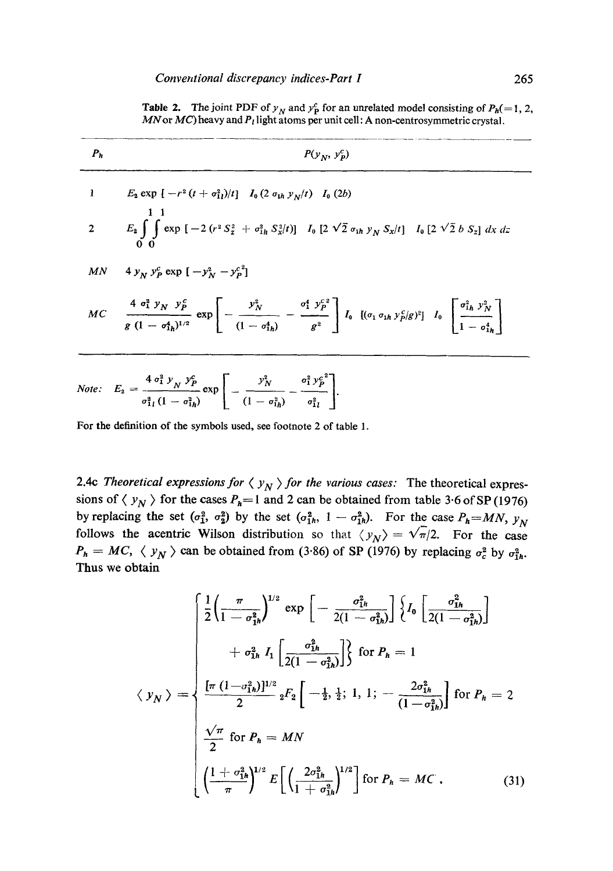**Table 2.** The joint PDF of  $y_N$  and  $y_P^c$  for an unrelated model consisting of  $P_h(=1, 2, ...)$ *MN* or *MC*) heavy and  $P_l$  light atoms per unit cell: A non-centrosymmetric crystal.

| $P_h$ | $P(y_N, y_p^c)$                                                                                                                                                                                                                                                                 |
|-------|---------------------------------------------------------------------------------------------------------------------------------------------------------------------------------------------------------------------------------------------------------------------------------|
|       | 1 $E_2 \exp \left[ -r^2 (t + \sigma_{11}^2)/t \right] I_0 (2 \sigma_{1h} y_N/t) I_0 (2b)$                                                                                                                                                                                       |
|       | 2 $E_2 \int \int \exp \left[-2(r^2 S_z^2 + \sigma_{1h}^2 S_x^2/t)\right] I_0 \left[2 \sqrt{2} \sigma_{1h} y_N S_x/t\right] I_0 \left[2 \sqrt{2} b S_z\right] dx dz$                                                                                                             |
|       | MN $4 y_N y_P^c \exp[-y_N^2 - y_P^c]^2$                                                                                                                                                                                                                                         |
|       | MC $\frac{4 \sigma_1^2 y_N y_P^2}{g (1 - \sigma_{1h}^4)^{1/2}} \exp \left[ - \frac{y_N^2}{(1 - \sigma_{1h}^4)} - \frac{\sigma_1^4 y_P^{c_2}}{g^2} \right] I_0 \left[ (\sigma_1 \sigma_{1h} y_P^c/g)^2 \right] I_0 \left[ \frac{\sigma_{1h}^2 y_N^2}{1 - \sigma_{1h}^4} \right]$ |
|       | Note: $E_2 = \frac{4 \sigma_1^2 y_N y_P^c}{2 \sigma_1^2 y_N^c} \exp \left[ -\frac{y_N^2}{2 \sigma_1^2 y_P^c} - \frac{\sigma_1^2 y_P^c}{2 \sigma_1^2 y_P^c} \right].$                                                                                                            |

For the definition of the symbols used, see footnote 2 of table 1.

 $\sigma_{1l}^2 (1 - \sigma_{1h}^2)$   $(1 - \sigma_{1h}^2)$   $\sigma_{1l}^2$  |

2.4c *Theoretical expressions for*  $\langle y_N \rangle$  *for the various cases:* The theoretical expressions of  $\langle y_N \rangle$  for the cases  $P_h=1$  and 2 can be obtained from table 3.6 of SP (1976) by replacing the set  $(\sigma_1^2, \sigma_2^2)$  by the set  $(\sigma_1^2h, 1 - \sigma_1^2h)$ . For the case  $P_h = MN$ ,  $y_N$ follows the acentric Wilson distribution so that  $\langle y_N \rangle = \sqrt{\pi/2}$ . For the case  $P_h = MC$ ,  $\langle y_N \rangle$  can be obtained from (3.86) of SP (1976) by replacing  $\sigma_c^2$  by  $\sigma_{1h}^2$ . Thus we obtain

$$
\langle y_N \rangle = \begin{cases} \frac{1}{2} \left( \frac{\pi}{1 - \sigma_{1h}^2} \right)^{1/2} \exp \left[ -\frac{\sigma_{1h}^2}{2(1 - \sigma_{1h}^2)} \right] \left\{ I_0 \left[ \frac{\sigma_{1h}^2}{2(1 - \sigma_{1h}^2)} \right] + \sigma_{1h}^2 I_1 \left[ \frac{\sigma_{1h}^2}{2(1 - \sigma_{1h}^2)} \right] \right\} & \text{for } P_h = 1 \\ \frac{[\pi (1 - \sigma_{1h}^2)]^{1/2}}{2} {}_2F_2 \left[ -\frac{1}{2}, \frac{1}{2}; 1, 1; -\frac{2\sigma_{1h}^2}{(1 - \sigma_{1h}^2)} \right] & \text{for } P_h = 2 \\ \frac{\sqrt{\pi}}{2} & \text{for } P_h = MN \\ \frac{1 + \sigma_{1h}^2}{\pi} \Big|^{1/2} E \left[ \left( \frac{2\sigma_{1h}^2}{1 + \sigma_{1h}^2} \right)^{1/2} \right] & \text{for } P_h = MC \,. \end{cases} \tag{31}
$$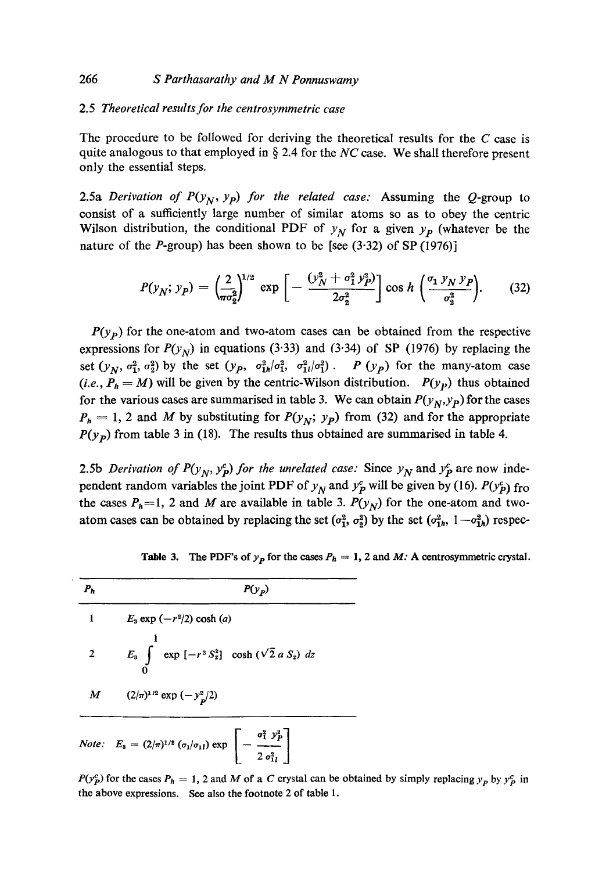#### 266 *S Parthasarathy and M N Ponnuswamy*

#### 2.5 *Theoretical results for the centrosymmetric case*

The procedure to be followed for deriving the theoretical results for the  $C$  case is quite analogous to that employed in  $\S$  2.4 for the *NC* case. We shall therefore present only the essential steps.

2.5a *Derivation of P(y<sub>N</sub>, y<sub>P</sub>) for the related case:* Assuming the Q-group to consist of a sufficiently large number of similar atoms so as to obey the centric Wilson distribution, the conditional PDF of  $y_N$  for a given  $y_p$  (whatever be the nature of the *P*-group) has been shown to be [see  $(3.32)$  of SP  $(1976)$ ]

$$
P(y_N; y_P) = \left(\frac{2}{\pi \sigma_2^2}\right)^{1/2} \exp\left[-\frac{(y_N^2 + \sigma_1^2 y_P^2)}{2\sigma_2^2}\right] \cos h\left(\frac{\sigma_1 y_N y_P}{\sigma_2^2}\right).
$$
 (32)

 $P(y<sub>p</sub>)$  for the one-atom and two-atom cases can be obtained from the respective expressions for  $P(y_N)$  in equations (3.33) and (3.34) of SP (1976) by replacing the set  $(y_N, \sigma_1^2, \sigma_2^2)$  by the set  $(y_p, \sigma_{1h}^2/\sigma_1^2, \sigma_{1l}^2/\sigma_1^2)$ . P  $(y_p)$  for the many-atom case (*i.e.,*  $P_h = M$ ) will be given by the centric-Wilson distribution.  $P(y_p)$  thus obtained for the various cases are summarised in table 3. We can obtain  $P(y_N, y_P)$  for the cases  $P_h = 1$ , 2 and M by substituting for  $P(y_N; y_p)$  from (32) and for the appropriate  $P(y_p)$  from table 3 in (18). The results thus obtained are summarised in table 4.

2.5b *Derivation of P(y<sub>N</sub>, y<sup>c</sup><sub>p</sub>) for the unrelated case:* Since  $y<sub>N</sub>$  and  $y<sub>P</sub>$  are now independent random variables the joint PDF of  $y<sub>N</sub>$  and  $y<sub>P</sub><sup>c</sup>$  will be given by (16).  $P(y<sub>P</sub><sup>c</sup>)$  fro the cases  $P_h=1$ , 2 and M are available in table 3.  $P(y_N)$  for the one-atom and twoatom cases can be obtained by replacing the set  $(\sigma_1^2, \sigma_2^2)$  by the set  $(\sigma_{1h}^2, 1 - \sigma_{1h}^2)$  respec-

| $P_h$          | $P(y_p)$                                                                                                           |  |
|----------------|--------------------------------------------------------------------------------------------------------------------|--|
|                | $E_3$ exp $(-r^2/2)$ cosh (a)                                                                                      |  |
| $\overline{2}$ | $E_3 \int \exp[-r^2 S_z^2] \cosh(\sqrt{2} a S_z) dz$                                                               |  |
|                | M $(2/\pi)^{1/2} \exp(-y_p^2/2)$                                                                                   |  |
|                | <i>Note:</i> $E_3 = (2/\pi)^{1/2} (\sigma_1/\sigma_1) \exp \left[-\frac{\sigma_1^2 y_p^2}{2 \sigma_{11}^2}\right]$ |  |

Table 3. The PDF's of  $y_p$  for the cases  $P_h = 1$ , 2 and *M*: A centrosymmetric crystal.

 $P(y_P^c)$  for the cases  $P_h = 1$ , 2 and M of a C crystal can be obtained by simply replacing  $y_p$  by  $y_p^c$  in the above expressions. See also the footnote 2 of table 1.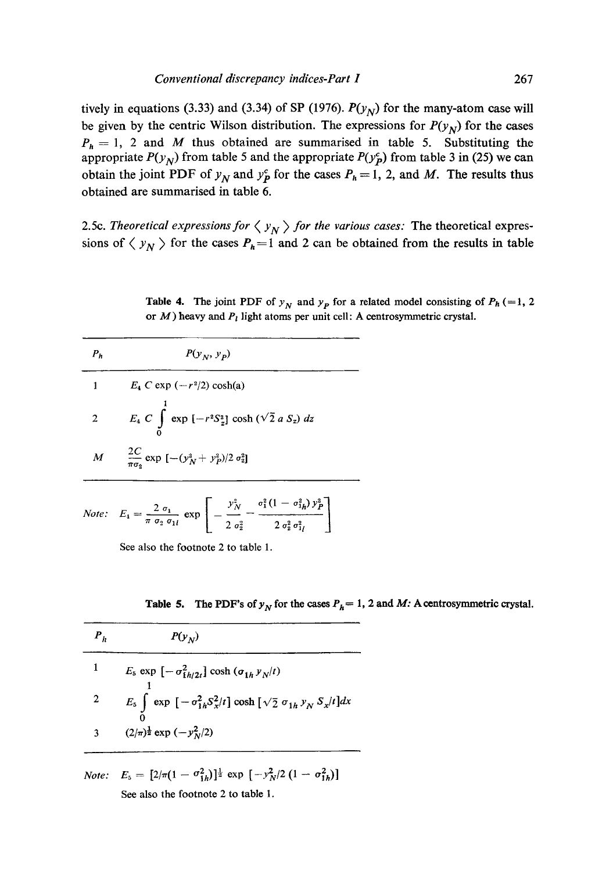tively in equations (3.33) and (3.34) of SP (1976).  $P(y_N)$  for the many-atom case will be given by the centric Wilson distribution. The expressions for  $P(y_N)$  for the cases  $P_h = 1$ , 2 and *M* thus obtained are summarised in table 5. Substituting the appropriate  $P(y_N)$  from table 5 and the appropriate  $P(y_P^c)$  from table 3 in (25) we can obtain the joint PDF of  $y_N$  and  $y_P^c$  for the cases  $P_h = 1$ , 2, and M. The results thus obtained are summarised in table 6.

2.5c. *Theoretical expressions for*  $\langle y_N \rangle$  *for the various cases:* The theoretical expressions of  $\langle y_N \rangle$  for the cases  $P_h=1$  and 2 can be obtained from the results in table

**Table 4.** The joint PDF of  $y_N$  and  $y_p$  for a related model consisting of  $P_h$  (=1, 2) or  $M$ ) heavy and  $P<sub>l</sub>$  light atoms per unit cell: A centrosymmetric crystal.

| $P_{\bm{h}}$ | $P(y_N, y_p)$                                                                                                                    |
|--------------|----------------------------------------------------------------------------------------------------------------------------------|
|              | $E_4 C \exp(-r^2/2) \cosh(a)$                                                                                                    |
| $2^{\circ}$  | $E_4 \, C \, \int \limits_{-\infty}^{\infty} \exp \left[ -r^2 S_{z}^2 \right] \cosh \left( \sqrt{2} \, a \, S_{z} \right) \, dz$ |
|              | $M = \frac{2C}{\pi \sigma_2} \exp \left[ -(y_N^2 + y_P^2)/2 \sigma_2^2 \right]$                                                  |
|              | $\begin{bmatrix} y_N^2 & \sigma_1^2(1-\sigma_{1h}^2)y_P^2 \end{bmatrix}$<br>$2^{\circ}$                                          |

 $\sigma_2 \sigma_{1l}$  |  $2 \sigma_3^2$   $2 \sigma_3^2 \sigma_{1l}^2$ 

See also the footnote 2 to table 1.

*Note:*  $E_4 = \frac{2 \sigma_1}{\pi \sigma_2 \sigma_1 i}$ 

**Table 5.** The PDF's of  $y_N$  for the cases  $P_h = 1$ , 2 and *M*: A centrosymmetric crystal.

| $\bm{P}_h$ | $P(y_N)$                                                                                                         |
|------------|------------------------------------------------------------------------------------------------------------------|
|            | $E_5 \exp \left[-\sigma_{1h/2t}^2\right] \cosh \left(\sigma_{1h} y_N/t\right)$                                   |
| 2          | $E_5 \int \exp \left[ -\sigma_{1h}^2 S_x^2 / t \right] \cosh \left[ \sqrt{2} \sigma_{1h} y_N S_x / t \right] dx$ |
|            | $(2/\pi)^{\frac{1}{2}}$ exp $(-y_N^2/2)$                                                                         |

*Note:*  $E_5 = [2/\pi(1 - \sigma_{1b}^2)]^{\frac{1}{2}} \exp\left[-y_N^2/2(1 - \sigma_{1b}^2)\right]$ See also the footnote 2 to table **1.**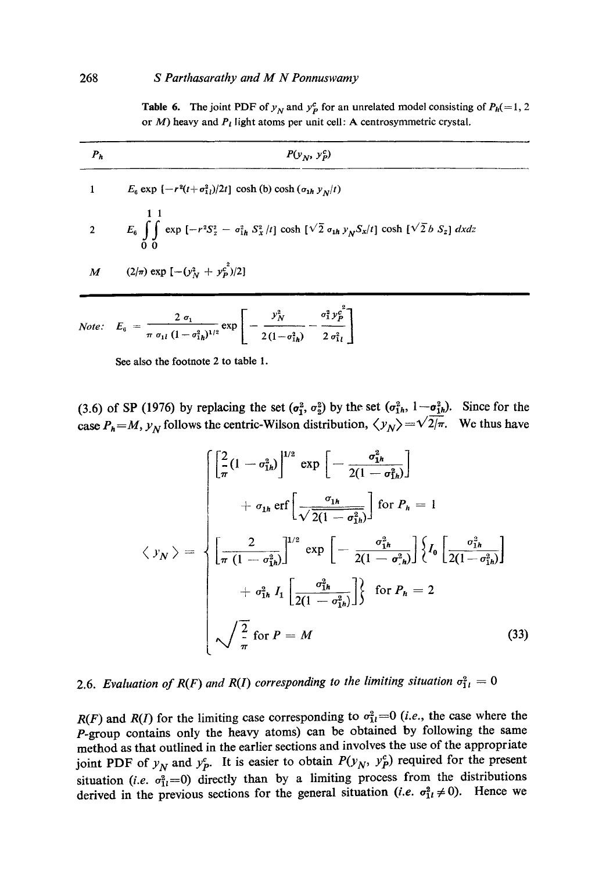**Table 6.** The joint PDF of  $y_N$  and  $y_P^c$  for an unrelated model consisting of  $P_h(=1, 2)$ or  $M$ ) heavy and  $P<sub>i</sub>$  light atoms per unit cell: A centrosymmetric crystal.

| P <sub>h</sub>   | $P(y_N, y_P^c)$                                                                                                            |
|------------------|----------------------------------------------------------------------------------------------------------------------------|
|                  | $E_6 \exp \left[-r^2(t+\sigma_{11}^2)/2t\right] \cosh (b) \cosh (\sigma_{1h} y_N/t)$                                       |
|                  | 2 $E_6 \int \int \exp[-r^2S_z^2 - \sigma_{1h}^2 S_x^2/t] \cosh[\sqrt{2} \sigma_{1h} y_N S_x/t] \cosh[\sqrt{2} b S_z] dxdz$ |
| $\boldsymbol{M}$ | $(2/\pi)$ exp $[-(y_N^2 + y_P^2)/2]$                                                                                       |
|                  | Note: $E_a = \frac{2 a_1}{\exp \left[-\frac{y_N^2}{2} - \frac{a_1^2 y_P^2}{2}\right]}$                                     |

Note: 
$$
E_6 = \frac{1}{\pi a_{1l} (1 - \sigma_{1h}^2)^{1/2}} \exp \left[ -\frac{1}{2(1 - \sigma_{1h}^2)} - \frac{1}{2 \sigma_{1l}^2} \right]
$$

See also the footnote 2 to table 1.

(3.6) of SP (1976) by replacing the set  $(\sigma_1^2, \sigma_2^2)$  by the set  $(\sigma_1^2)_h$ ,  $1 - \sigma_1^2{}_h$ . Since for the case  $P_h = M$ ,  $y_N$  follows the centric-Wilson distribution,  $\langle y_N \rangle = \sqrt{2/\pi}$ . We thus have

$$
\langle y_N \rangle = \begin{cases}\n\left[\frac{2}{\pi}(1 - \sigma_{1h}^2)\right]^{1/2} \exp\left[-\frac{\sigma_{1h}^2}{2(1 - \sigma_{1h}^2)}\right] \\
+ \sigma_{1h} \operatorname{erf}\left[\frac{\sigma_{1h}}{\sqrt{2(1 - \sigma_{1h}^2)}}\right] \operatorname{for} P_h = 1 \\
\left[\frac{2}{\pi(1 - \sigma_{1h}^2)}\right]^{1/2} \exp\left[-\frac{\sigma_{1h}^2}{2(1 - \sigma_{1h}^2)}\right] \left\{I_0\left[\frac{\sigma_{1h}^2}{2(1 - \sigma_{1h}^2)}\right] + \sigma_{1h}^2 I_1\left[\frac{\sigma_{1h}^2}{2(1 - \sigma_{1h}^2)}\right] \right\} & \text{for } P_h = 2 \\
\sqrt{\frac{2}{\pi}} \operatorname{for} P = M & (33)\n\end{cases}
$$

# 2.6. *Evaluation of R(F) and R(I) corresponding to the limiting situation*  $\sigma_{1i}^2 = 0$

*R(F)* and *R(I)* for the limiting case corresponding to  $\sigma_{1l}^2=0$  *(i.e., the case where the* P-group contains only the heavy atoms) can be obtained by following the same method as that outlined in the earlier sections and involves the use of the appropriate joint PDF of  $y_N$  and  $y_P^c$ . It is easier to obtain  $P(y_N, y_P^c)$  required for the present situation (*i.e.*  $\sigma_{11}^2=0$ ) directly than by a limiting process from the distributions derived in the previous sections for the general situation *(i.e.*  $\sigma_{1l}^2 \neq 0$ ). Hence we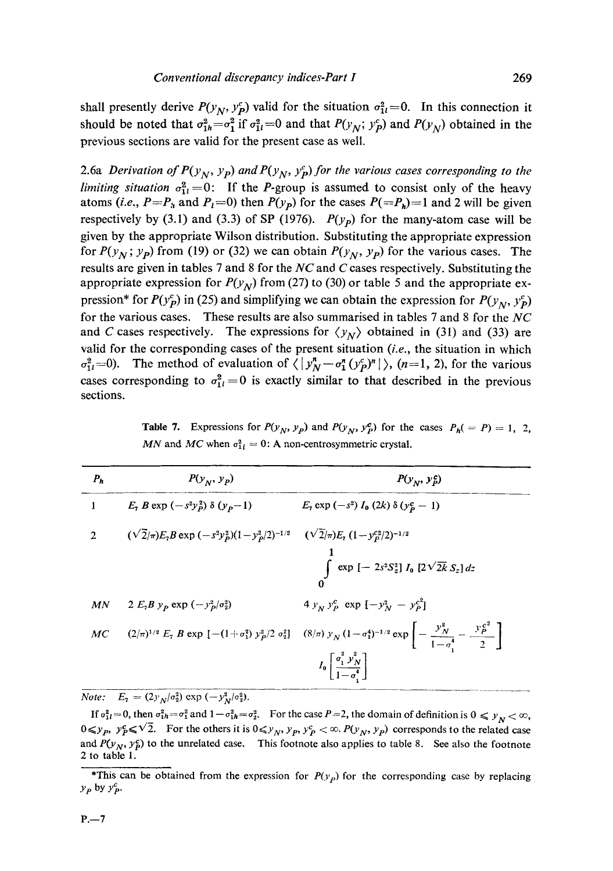shall presently derive  $P(y_N, y_p^c)$  valid for the situation  $\sigma_{1l}^2 = 0$ . In this connection it should be noted that  $\sigma_{1h}^2 = \sigma_1^2$  if  $\sigma_{1l}^2 = 0$  and that  $P(y_N; y_P^c)$  and  $P(y_N)$  obtained in the previous sections are valid for the present case as well.

2.6a *Derivation of P(y<sub>N</sub>, y<sub>P</sub>) and P(y<sub>N</sub>, y<sub>P</sub>) for the various cases corresponding to the limiting situation*  $\sigma_{1l}^2 = 0$ : If the *P*-group is assumed to consist only of the heavy atoms (*i.e., P=P<sub>i</sub>* and  $P_1$ =0) then  $P(y_p)$  for the cases  $P(=P_h)=1$  and 2 will be given respectively by (3.1) and (3.3) of SP (1976).  $P(y_p)$  for the many-atom case will be given by the appropriate Wilson distribution. Substituting the appropriate expression for  $P(y_N; y_p)$  from (19) or (32) we can obtain  $P(y_N, y_p)$  for the various cases. The results are given in tables 7 and 8 for the *NC* and C cases respectively. Substituting the appropriate expression for  $P(y_N)$  from (27) to (30) or table 5 and the appropriate expression\* for  $P(y_p^c)$  in (25) and simplifying we can obtain the expression for  $P(y_N, y_p^c)$ for the various cases. These results are also summarised in tables 7 and 8 for the *NC*  and C cases respectively. The expressions for  $\langle y_N \rangle$  obtained in (31) and (33) are valid for the corresponding cases of the present situation *(i.e.,* the situation in which  $\sigma_{1l}^2$ =0). The method of evaluation of  $\langle |y_N^n-\sigma_1^n(y_p^c)^n| \rangle$ , (n=1, 2), for the various cases corresponding to  $\sigma_{11}^2 = 0$  is exactly similar to that described in the previous sections.

**Table 7.** Expressions for  $P(y_N, y_p)$  and  $P(y_N, y_p^c)$  for the cases  $P_h(= P) = 1, 2,$ *MN* and *MC* when  $\sigma_{1i}^2 = 0$ : A non-centrosymmetric crystal.

| $P_h$          | $P(y_N, y_p)$                                                                                     | $P(y_N, y_p^c)$                                                                                                                                                                                                                             |
|----------------|---------------------------------------------------------------------------------------------------|---------------------------------------------------------------------------------------------------------------------------------------------------------------------------------------------------------------------------------------------|
| $\mathbf{1}$   | $E_7 B \exp (-s^2 y_p^2) \delta (y_p-1)$                                                          | $E_7 \exp(-s^2) I_0(2k) \delta(y_P^c - 1)$                                                                                                                                                                                                  |
| $\overline{2}$ | $(\sqrt{2}/\pi)E_7B\exp{(-s^2y_D^2)(1-y_P^2/2)^{-1/2}}$ $(\sqrt{2}/\pi)E_7(1-y_P^{c_2/2})^{-1/2}$ | $\int \exp \left[ -2s^2 S_z^2 \right] I_0 \left[ 2\sqrt{2k} S_z \right] dz$                                                                                                                                                                 |
| MN             | 2 $E_7B y_p \exp(-y_p^2/\sigma_2^2)$                                                              | 4 $y_N y_P^c$ exp $[-y_N^2 - y_P^c]^2$                                                                                                                                                                                                      |
| MC             |                                                                                                   | $(2/\pi)^{1/2} E_7 B \exp \left[ -(1+\sigma_1^2) y_p^2/2 \sigma_2^2 \right]$ $(8/\pi) y_N (1-\sigma_1^4)^{-1/2} \exp \left[ -\frac{y_N^2}{1-\sigma_1^4} - \frac{y_p^2}{2} \right]$<br>$I_0\left[\frac{\sigma_1^2 y_N^2}{1-\sigma^4}\right]$ |

*Note:*  $E_7 = (2y_N/\sigma_2^2) \exp(-y_N^2/\sigma_2^2)$ .

If  $\sigma_{1l}^2=0$ , then  $\sigma_{1h}^2=\sigma_1^2$  and  $1-\sigma_{1h}^2=\sigma_2^2$ . For the case  $P=2$ , the domain of definition is  $0 \leq y_N < \infty$ ,  $0 \leq y_p$ ,  $y_p^c \leq \sqrt{2}$ . For the others it is  $0 \leq y_N$ ,  $y_p$ ,  $y_p^c < \infty$ .  $P(y_N, y_p)$  corresponds to the related case and  $P(y_N, y^c)$  to the unrelated case. This footnote also applies to table 8. See also the footnote 2 to table 1.

<sup>\*</sup>This can be obtained from the expression for  $P(y<sub>p</sub>)$  for the corresponding case by replacing  $y_P$  by  $y_P^c$ .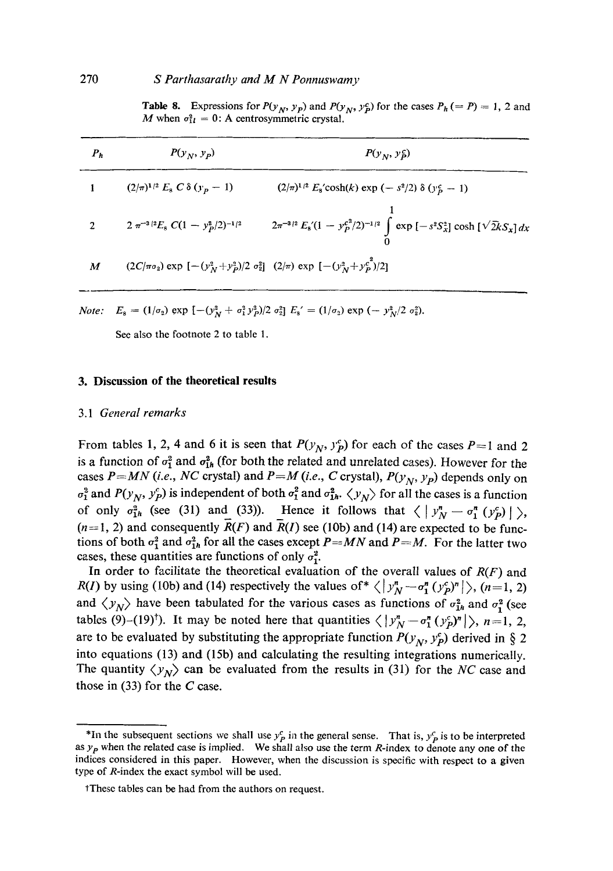#### 270 *S Parthasarathy and M N Ponnuswamy*

**Table 8.** Expressions for  $P(y_N, y_p)$  and  $P(y_N, y_p^c)$  for the cases  $P_h (= P) = 1, 2$  and M when  $\sigma_{1l}^2 = 0$ : A centrosymmetric crystal.

| P <sub>h</sub> | $P(y_N, y_P)$                                                                               | $P(y_N, y_P^c)$                                                                        |
|----------------|---------------------------------------------------------------------------------------------|----------------------------------------------------------------------------------------|
|                | $(2/\pi)^{1/2} E_8 C \delta(y_p-1)$                                                         | $(2/\pi)^{1/2} E_8$ 'cosh $(k)$ exp $(-s^2/2)$ $\delta(y_p^c - 1)$                     |
|                | $2 \pi^{-3/2} E_8 C (1 - y_p^2/2)^{-1/2}$                                                   | $2\pi^{-3/2} E_8(1 - y_P^{c^2/2})^{-1/2} \int \exp[-s^2 S_x^2] \cosh[\sqrt{2k}S_x] dx$ |
| M              | $(2C/\pi\sigma_2)$ exp $[-(y_N^2+y_P^2)/2 \sigma_2^2]$ $(2/\pi)$ exp $[-(y_N^2+y_P^{2})/2]$ |                                                                                        |

*Note:*  $E_8 = (1/\sigma_2) \exp \left[ -\frac{y^2}{N} + \frac{\sigma_1^2}{N^2} \right] \frac{y^2}{2} \sigma_2^2 E_8' = (1/\sigma_2) \exp \left( -\frac{y^2}{N^2} \sigma_2^2 \right).$ 

See also the footnote 2 to table 1.

#### **3. Discussion of the theoretical results**

#### 3.1 *General remarks*

From tables 1, 2, 4 and 6 it is seen that  $P(y_N, y_P^c)$  for each of the cases  $P=1$  and 2 is a function of  $\sigma_1^2$  and  $\sigma_{1h}^2$  (for both the related and unrelated cases). However for the cases  $P=MN$  (i.e., NC crystal) and  $P=M$  (i.e., C crystal),  $P(y_N, y_P)$  depends only on  $\sigma_1^2$  and  $P(y_N, y_P^c)$  is independent of both  $\sigma_1^2$  and  $\sigma_{1h}^2$ .  $\langle y_N \rangle$  for all the cases is a function of only  $\sigma_{1h}^2$  (see (31) and (33)). Hence it follows that  $\langle |y_N^n-\sigma_1^n(y_p)| \rangle$ ,  $(n=1, 2)$  and consequently  $\overline{R}(F)$  and  $\overline{R}(I)$  see (10b) and (14) are expected to be functions of both  $\sigma_1^2$  and  $\sigma_{1h}^2$  for all the cases except *P=MN* and *P=M*. For the latter two cases, these quantities are functions of only  $\sigma_1^2$ .

In order to facilitate the theoretical evaluation of the overall values of *R(F)* and *R(I)* by using (10b) and (14) respectively the values of  $\langle |y_N^n - \sigma_1^n (y_p^c)^n| \rangle$ , (n=1, 2) and  $\langle y_N \rangle$  have been tabulated for the various cases as functions of  $\sigma_{1h}^2$  and  $\sigma_1^2$  (see tables (9)-(19)<sup>†</sup>). It may be noted here that quantities  $\langle |y_N^n - \sigma_1^n (y_p^n)^n| \rangle$ , n=1, 2, are to be evaluated by substituting the appropriate function  $P(y_N, y_P^c)$  derived in § 2 into equations (13) and (15b) and calculating the resulting integrations numerically. The quantity  $\langle y_N \rangle$  can be evaluated from the results in (31) for the *NC* case and those in  $(33)$  for the C case.

<sup>\*</sup>In the subsequent sections we shall use  $y_P^c$  in the general sense. That is,  $y_P^c$  is to be interpreted as  $y_p$  when the related case is implied. We shall also use the term R-index to denote any one of the indices considered in this paper. However, when the discussion is specific with respect to a given type of R-index the exact symbol will be used.

<sup>\*</sup>These tables can be had from the authors on request.